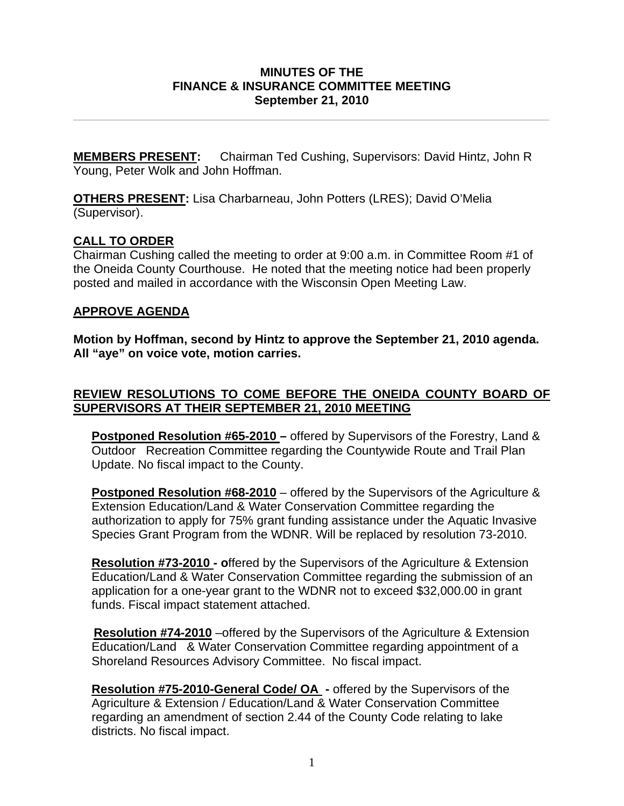#### **MINUTES OF THE FINANCE & INSURANCE COMMITTEE MEETING September 21, 2010**

**\_\_\_\_\_\_\_\_\_\_\_\_\_\_\_\_\_\_\_\_\_\_\_\_\_\_\_\_\_\_\_\_\_\_\_\_\_\_\_\_\_\_\_\_\_\_\_\_\_\_\_\_\_\_\_\_\_\_\_\_\_\_\_\_\_\_\_\_\_\_** 

**MEMBERS PRESENT:** Chairman Ted Cushing, Supervisors: David Hintz, John R Young, Peter Wolk and John Hoffman.

**OTHERS PRESENT:** Lisa Charbarneau, John Potters (LRES); David O'Melia (Supervisor).

## **CALL TO ORDER**

Chairman Cushing called the meeting to order at 9:00 a.m. in Committee Room #1 of the Oneida County Courthouse. He noted that the meeting notice had been properly posted and mailed in accordance with the Wisconsin Open Meeting Law.

# **APPROVE AGENDA**

**Motion by Hoffman, second by Hintz to approve the September 21, 2010 agenda. All "aye" on voice vote, motion carries.** 

## **REVIEW RESOLUTIONS TO COME BEFORE THE ONEIDA COUNTY BOARD OF SUPERVISORS AT THEIR SEPTEMBER 21, 2010 MEETING**

**Postponed Resolution #65-2010 –** offered by Supervisors of the Forestry, Land & Outdoor Recreation Committee regarding the Countywide Route and Trail Plan Update. No fiscal impact to the County.

**Postponed Resolution #68-2010** – offered by the Supervisors of the Agriculture & Extension Education/Land & Water Conservation Committee regarding the authorization to apply for 75% grant funding assistance under the Aquatic Invasive Species Grant Program from the WDNR. Will be replaced by resolution 73-2010.

**Resolution #73-2010 - o**ffered by the Supervisors of the Agriculture & Extension Education/Land & Water Conservation Committee regarding the submission of an application for a one-year grant to the WDNR not to exceed \$32,000.00 in grant funds. Fiscal impact statement attached.

 **Resolution #74-2010** –offered by the Supervisors of the Agriculture & Extension Education/Land & Water Conservation Committee regarding appointment of a Shoreland Resources Advisory Committee. No fiscal impact.

**Resolution #75-2010-General Code/ OA -** offered by the Supervisors of the Agriculture & Extension / Education/Land & Water Conservation Committee regarding an amendment of section 2.44 of the County Code relating to lake districts. No fiscal impact.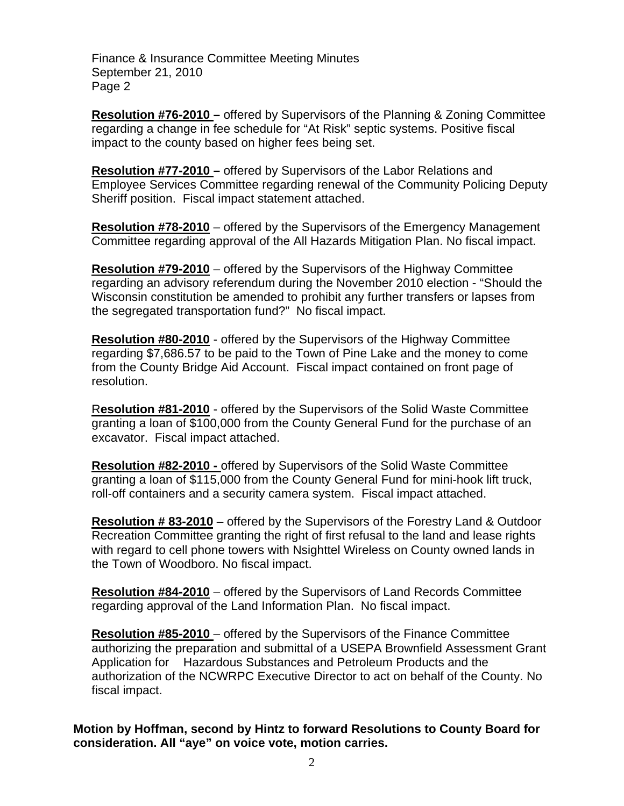Finance & Insurance Committee Meeting Minutes September 21, 2010 Page 2

**Resolution #76-2010 –** offered by Supervisors of the Planning & Zoning Committee regarding a change in fee schedule for "At Risk" septic systems. Positive fiscal impact to the county based on higher fees being set.

**Resolution #77-2010 –** offered by Supervisors of the Labor Relations and Employee Services Committee regarding renewal of the Community Policing Deputy Sheriff position. Fiscal impact statement attached.

**Resolution #78-2010** – offered by the Supervisors of the Emergency Management Committee regarding approval of the All Hazards Mitigation Plan. No fiscal impact.

**Resolution #79-2010** – offered by the Supervisors of the Highway Committee regarding an advisory referendum during the November 2010 election - "Should the Wisconsin constitution be amended to prohibit any further transfers or lapses from the segregated transportation fund?" No fiscal impact.

**Resolution #80-2010** - offered by the Supervisors of the Highway Committee regarding \$7,686.57 to be paid to the Town of Pine Lake and the money to come from the County Bridge Aid Account. Fiscal impact contained on front page of resolution.

R**esolution #81-2010** - offered by the Supervisors of the Solid Waste Committee granting a loan of \$100,000 from the County General Fund for the purchase of an excavator. Fiscal impact attached.

**Resolution #82-2010 -** offered by Supervisors of the Solid Waste Committee granting a loan of \$115,000 from the County General Fund for mini-hook lift truck, roll-off containers and a security camera system. Fiscal impact attached.

**Resolution # 83-2010** – offered by the Supervisors of the Forestry Land & Outdoor Recreation Committee granting the right of first refusal to the land and lease rights with regard to cell phone towers with Nsighttel Wireless on County owned lands in the Town of Woodboro. No fiscal impact.

**Resolution #84-2010** – offered by the Supervisors of Land Records Committee regarding approval of the Land Information Plan. No fiscal impact.

**Resolution #85-2010** – offered by the Supervisors of the Finance Committee authorizing the preparation and submittal of a USEPA Brownfield Assessment Grant Application for Hazardous Substances and Petroleum Products and the authorization of the NCWRPC Executive Director to act on behalf of the County. No fiscal impact.

**Motion by Hoffman, second by Hintz to forward Resolutions to County Board for consideration. All "aye" on voice vote, motion carries.**